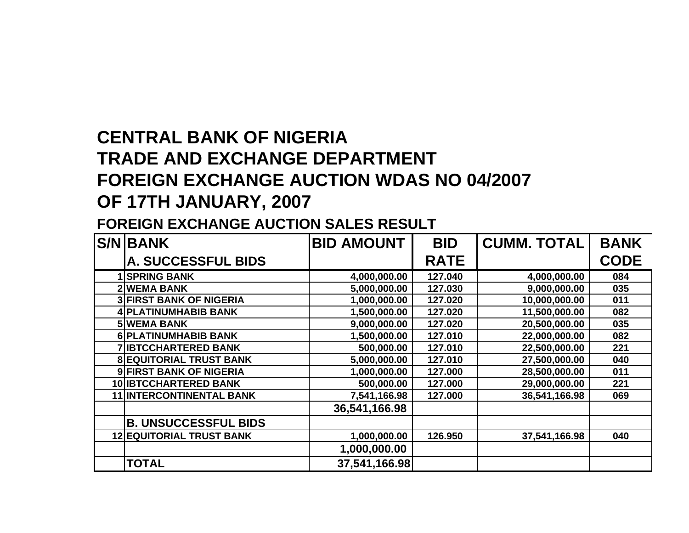## **CENTRAL BANK OF NIGERIA TRADE AND EXCHANGE DEPARTMENT FOREIGN EXCHANGE AUCTION WDAS NO 04/2007 OF 17TH JANUARY, 2007**

## **FOREIGN EXCHANGE AUCTION SALES RESULT**

| <b>S/N BANK</b>                 | <b>BID AMOUNT</b> | <b>BID</b>  | <b>CUMM. TOTAL</b> | <b>BANK</b> |
|---------------------------------|-------------------|-------------|--------------------|-------------|
| <b>A. SUCCESSFUL BIDS</b>       |                   | <b>RATE</b> |                    | <b>CODE</b> |
| <b>SPRING BANK</b>              | 4,000,000.00      | 127.040     | 4,000,000.00       | 084         |
| <b>2WEMA BANK</b>               | 5,000,000.00      | 127.030     | 9,000,000.00       | 035         |
| <b>3 FIRST BANK OF NIGERIA</b>  | 1,000,000.00      | 127.020     | 10,000,000.00      | 011         |
| 4 PLATINUMHABIB BANK            | 1,500,000.00      | 127.020     | 11,500,000.00      | 082         |
| <b>5 WEMA BANK</b>              | 9,000,000.00      | 127.020     | 20,500,000.00      | 035         |
| 6 PLATINUMHABIB BANK            | 1,500,000.00      | 127.010     | 22,000,000.00      | 082         |
| <b>7 IBTCCHARTERED BANK</b>     | 500,000.00        | 127.010     | 22,500,000.00      | 221         |
| <b>8 EQUITORIAL TRUST BANK</b>  | 5,000,000.00      | 127.010     | 27,500,000.00      | 040         |
| <b>9 FIRST BANK OF NIGERIA</b>  | 1,000,000.00      | 127.000     | 28,500,000.00      | 011         |
| <b>10 IBTCCHARTERED BANK</b>    | 500,000.00        | 127.000     | 29,000,000.00      | 221         |
| <b>11 INTERCONTINENTAL BANK</b> | 7,541,166.98      | 127.000     | 36,541,166.98      | 069         |
|                                 | 36,541,166.98     |             |                    |             |
| <b>B. UNSUCCESSFUL BIDS</b>     |                   |             |                    |             |
| <b>12 EQUITORIAL TRUST BANK</b> | 1,000,000.00      | 126.950     | 37,541,166.98      | 040         |
|                                 | 1,000,000.00      |             |                    |             |
| <b>TOTAL</b>                    | 37,541,166.98     |             |                    |             |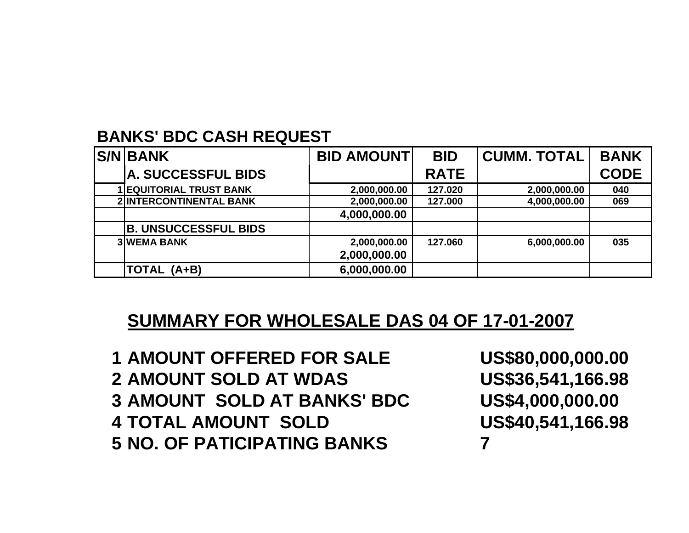## **BANKS' BDC CASH REQUEST**

| <b>S/N BANK</b>                | <b>BID AMOUNT</b> | <b>BID</b>  | <b>CUMM. TOTAL</b> | <b>BANK</b> |
|--------------------------------|-------------------|-------------|--------------------|-------------|
| <b>A. SUCCESSFUL BIDS</b>      |                   | <b>RATE</b> |                    | <b>CODE</b> |
| <b>1 EQUITORIAL TRUST BANK</b> | 2,000,000.00      | 127.020     | 2,000,000.00       | 040         |
| <b>2 INTERCONTINENTAL BANK</b> | 2,000,000.00      | 127.000     | 4,000,000.00       | 069         |
|                                | 4,000,000.00      |             |                    |             |
| <b>B. UNSUCCESSFUL BIDS</b>    |                   |             |                    |             |
| <b>3 WEMA BANK</b>             | 2,000,000.00      | 127.060     | 6,000,000.00       | 035         |
|                                | 2,000,000.00      |             |                    |             |
| TOTAL (A+B)                    | 6,000,000.00      |             |                    |             |

## **SUMMARY FOR WHOLESALE DAS 04 OF 17-01-2007**

 **AMOUNT OFFERED FOR SALE US\$80,000,000.00 AMOUNT SOLD AT WDAS US\$36,541,166.98 AMOUNT SOLD AT BANKS' BDC US\$4,000,000.00 TOTAL AMOUNT SOLD US\$40,541,166.98 NO. OF PATICIPATING BANKS 7**